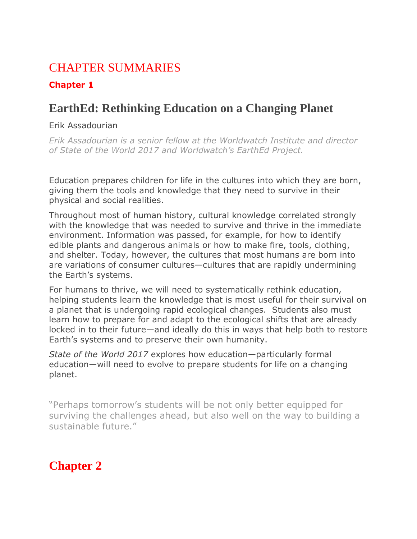### CHAPTER SUMMARIES

#### **Chapter 1**

## **EarthEd: Rethinking Education on a Changing Planet**

#### Erik Assadourian

*Erik Assadourian is a senior fellow at the Worldwatch Institute and director of State of the World 2017 and Worldwatch's EarthEd Project.*

Education prepares children for life in the cultures into which they are born, giving them the tools and knowledge that they need to survive in their physical and social realities.

Throughout most of human history, cultural knowledge correlated strongly with the knowledge that was needed to survive and thrive in the immediate environment. Information was passed, for example, for how to identify edible plants and dangerous animals or how to make fire, tools, clothing, and shelter. Today, however, the cultures that most humans are born into are variations of consumer cultures—cultures that are rapidly undermining the Earth's systems.

For humans to thrive, we will need to systematically rethink education, helping students learn the knowledge that is most useful for their survival on a planet that is undergoing rapid ecological changes. Students also must learn how to prepare for and adapt to the ecological shifts that are already locked in to their future—and ideally do this in ways that help both to restore Earth's systems and to preserve their own humanity.

*State of the World 2017* explores how education—particularly formal education—will need to evolve to prepare students for life on a changing planet.

"Perhaps tomorrow's students will be not only better equipped for surviving the challenges ahead, but also well on the way to building a sustainable future."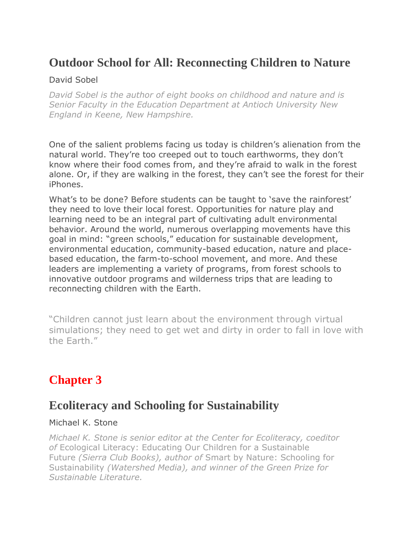### **Outdoor School for All: Reconnecting Children to Nature**

#### David Sobel

*David Sobel is the author of eight books on childhood and nature and is Senior Faculty in the Education Department at Antioch University New England in Keene, New Hampshire.*

One of the salient problems facing us today is children's alienation from the natural world. They're too creeped out to touch earthworms, they don't know where their food comes from, and they're afraid to walk in the forest alone. Or, if they are walking in the forest, they can't see the forest for their iPhones.

What's to be done? Before students can be taught to 'save the rainforest' they need to love their local forest. Opportunities for nature play and learning need to be an integral part of cultivating adult environmental behavior. Around the world, numerous overlapping movements have this goal in mind: "green schools," education for sustainable development, environmental education, community-based education, nature and placebased education, the farm-to-school movement, and more. And these leaders are implementing a variety of programs, from forest schools to innovative outdoor programs and wilderness trips that are leading to reconnecting children with the Earth.

"Children cannot just learn about the environment through virtual simulations; they need to get wet and dirty in order to fall in love with the Earth."

# **Chapter 3**

#### **Ecoliteracy and Schooling for Sustainability**

#### Michael K. Stone

*Michael K. Stone is senior editor at the Center for Ecoliteracy, coeditor of* Ecological Literacy: Educating Our Children for a Sustainable Future *(Sierra Club Books), author of* Smart by Nature: Schooling for Sustainability *(Watershed Media), and winner of the Green Prize for Sustainable Literature.*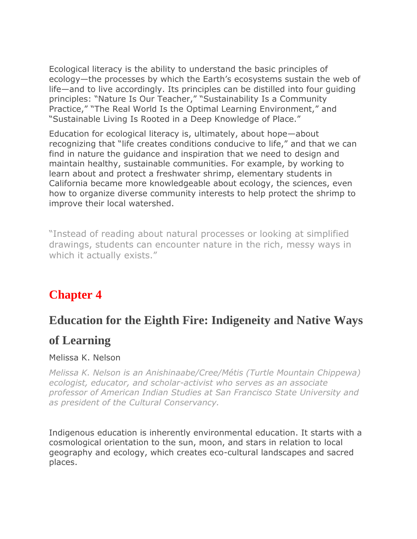Ecological literacy is the ability to understand the basic principles of ecology—the processes by which the Earth's ecosystems sustain the web of life—and to live accordingly. Its principles can be distilled into four guiding principles: "Nature Is Our Teacher," "Sustainability Is a Community Practice," "The Real World Is the Optimal Learning Environment," and "Sustainable Living Is Rooted in a Deep Knowledge of Place."

Education for ecological literacy is, ultimately, about hope—about recognizing that "life creates conditions conducive to life," and that we can find in nature the guidance and inspiration that we need to design and maintain healthy, sustainable communities. For example, by working to learn about and protect a freshwater shrimp, elementary students in California became more knowledgeable about ecology, the sciences, even how to organize diverse community interests to help protect the shrimp to improve their local watershed.

"Instead of reading about natural processes or looking at simplified drawings, students can encounter nature in the rich, messy ways in which it actually exists."

# **Chapter 4**

#### **Education for the Eighth Fire: Indigeneity and Native Ways**

#### **of Learning**

#### Melissa K. Nelson

*Melissa K. Nelson is an Anishinaabe/Cree/Métis (Turtle Mountain Chippewa) ecologist, educator, and scholar-activist who serves as an associate professor of American Indian Studies at San Francisco State University and as president of the Cultural Conservancy.*

Indigenous education is inherently environmental education. It starts with a cosmological orientation to the sun, moon, and stars in relation to local geography and ecology, which creates eco-cultural landscapes and sacred places.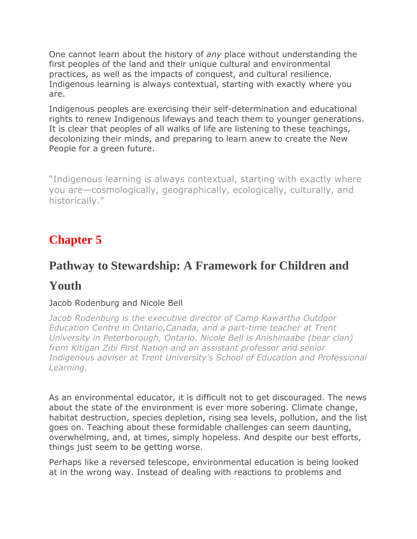One cannot learn about the history of *any* place without understanding the first peoples of the land and their unique cultural and environmental practices, as well as the impacts of conquest, and cultural resilience. Indigenous learning is always contextual, starting with exactly where you are.

Indigenous peoples are exercising their self-determination and educational rights to renew Indigenous lifeways and teach them to younger generations. It is clear that peoples of all walks of life are listening to these teachings, decolonizing their minds, and preparing to learn anew to create the New People for a green future.

"Indigenous learning is always contextual, starting with exactly where you are—cosmologically, geographically, ecologically, culturally, and historically."

# **Chapter 5**

# **Pathway to Stewardship: A Framework for Children and**

#### **Youth**

#### Jacob Rodenburg and Nicole Bell

*Jacob Rodenburg is the executive director of Camp Kawartha Outdoor Education Centre in Ontario,Canada, and a part-time teacher at Trent University in Peterborough, Ontario. Nicole Bell is Anishinaabe (bear clan) from Kitigan Zibi First Nation and an assistant professor and senior Indigenous adviser at Trent University's School of Education and Professional Learning.*

As an environmental educator, it is difficult not to get discouraged. The news about the state of the environment is ever more sobering. Climate change, habitat destruction, species depletion, rising sea levels, pollution, and the list goes on. Teaching about these formidable challenges can seem daunting, overwhelming, and, at times, simply hopeless. And despite our best efforts, things just seem to be getting worse.

Perhaps like a reversed telescope, environmental education is being looked at in the wrong way. Instead of dealing with reactions to problems and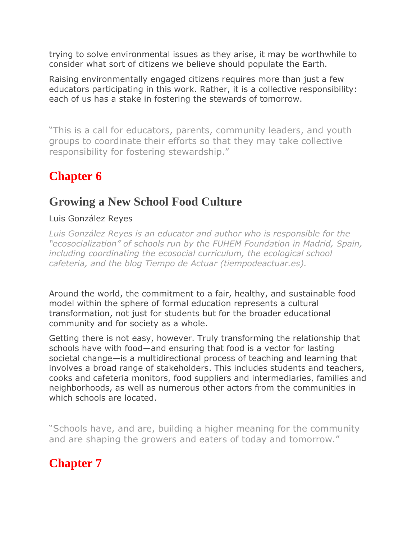trying to solve environmental issues as they arise, it may be worthwhile to consider what sort of citizens we believe should populate the Earth.

Raising environmentally engaged citizens requires more than just a few educators participating in this work. Rather, it is a collective responsibility: each of us has a stake in fostering the stewards of tomorrow.

"This is a call for educators, parents, community leaders, and youth groups to coordinate their efforts so that they may take collective responsibility for fostering stewardship."

# **Chapter 6**

## **Growing a New School Food Culture**

#### Luis González Reyes

*Luis González Reyes is an educator and author who is responsible for the "ecosocialization" of schools run by the FUHEM Foundation in Madrid, Spain, including coordinating the ecosocial curriculum, the ecological school cafeteria, and the blog Tiempo de Actuar (tiempodeactuar.es).*

Around the world, the commitment to a fair, healthy, and sustainable food model within the sphere of formal education represents a cultural transformation, not just for students but for the broader educational community and for society as a whole.

Getting there is not easy, however. Truly transforming the relationship that schools have with food—and ensuring that food is a vector for lasting societal change—is a multidirectional process of teaching and learning that involves a broad range of stakeholders. This includes students and teachers, cooks and cafeteria monitors, food suppliers and intermediaries, families and neighborhoods, as well as numerous other actors from the communities in which schools are located.

"Schools have, and are, building a higher meaning for the community and are shaping the growers and eaters of today and tomorrow."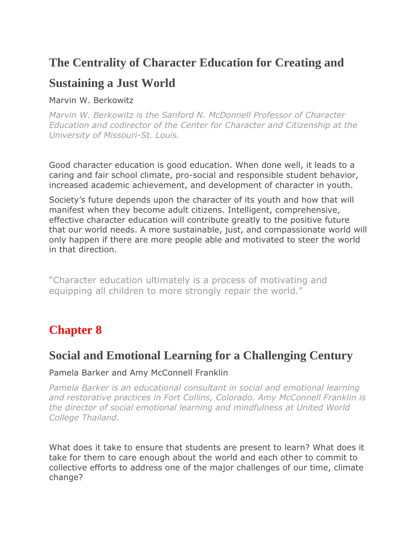### **The Centrality of Character Education for Creating and**

#### **Sustaining a Just World**

Marvin W. Berkowitz

*Marvin W. Berkowitz is the Sanford N. McDonnell Professor of Character Education and codirector of the Center for Character and Citizenship at the University of Missouri-St. Louis.*

Good character education is good education. When done well, it leads to a caring and fair school climate, pro-social and responsible student behavior, increased academic achievement, and development of character in youth.

Society's future depends upon the character of its youth and how that will manifest when they become adult citizens. Intelligent, comprehensive, effective character education will contribute greatly to the positive future that our world needs. A more sustainable, just, and compassionate world will only happen if there are more people able and motivated to steer the world in that direction.

"Character education ultimately is a process of motivating and equipping all children to more strongly repair the world."

# **Chapter 8**

### **Social and Emotional Learning for a Challenging Century**

#### Pamela Barker and Amy McConnell Franklin

*Pamela Barker is an educational consultant in social and emotional learning and restorative practices in Fort Collins, Colorado. Amy McConnell Franklin is the director of social emotional learning and mindfulness at United World College Thailand.*

What does it take to ensure that students are present to learn? What does it take for them to care enough about the world and each other to commit to collective efforts to address one of the major challenges of our time, climate change?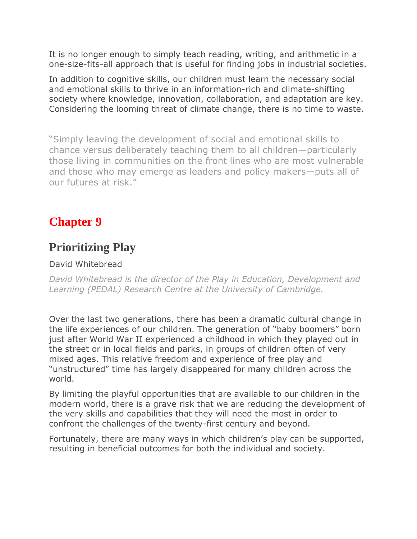It is no longer enough to simply teach reading, writing, and arithmetic in a one-size-fits-all approach that is useful for finding jobs in industrial societies.

In addition to cognitive skills, our children must learn the necessary social and emotional skills to thrive in an information-rich and climate-shifting society where knowledge, innovation, collaboration, and adaptation are key. Considering the looming threat of climate change, there is no time to waste.

"Simply leaving the development of social and emotional skills to chance versus deliberately teaching them to all children—particularly those living in communities on the front lines who are most vulnerable and those who may emerge as leaders and policy makers—puts all of our futures at risk."

# **Chapter 9**

### **Prioritizing Play**

#### David Whitebread

*David Whitebread is the director of the Play in Education, Development and Learning (PEDAL) Research Centre at the University of Cambridge.*

Over the last two generations, there has been a dramatic cultural change in the life experiences of our children. The generation of "baby boomers" born just after World War II experienced a childhood in which they played out in the street or in local fields and parks, in groups of children often of very mixed ages. This relative freedom and experience of free play and "unstructured" time has largely disappeared for many children across the world.

By limiting the playful opportunities that are available to our children in the modern world, there is a grave risk that we are reducing the development of the very skills and capabilities that they will need the most in order to confront the challenges of the twenty-first century and beyond.

Fortunately, there are many ways in which children's play can be supported, resulting in beneficial outcomes for both the individual and society.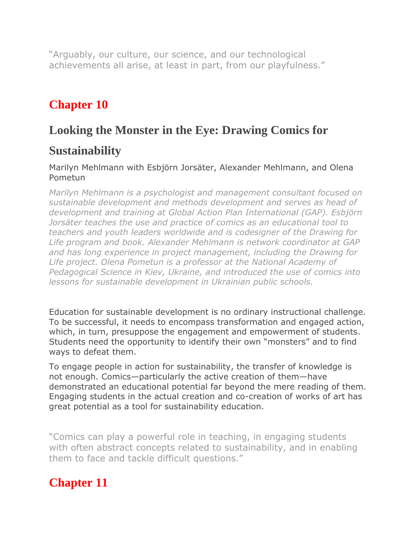"Arguably, our culture, our science, and our technological achievements all arise, at least in part, from our playfulness."

# **Chapter 10**

### **Looking the Monster in the Eye: Drawing Comics for**

### **Sustainability**

#### Marilyn Mehlmann with Esbjörn Jorsäter, Alexander Mehlmann, and Olena Pometun

*Marilyn Mehlmann is a psychologist and management consultant focused on sustainable development and methods development and serves as head of development and training at Global Action Plan International (GAP). Esbjörn Jorsäter teaches the use and practice of comics as an educational tool to teachers and youth leaders worldwide and is codesigner of the Drawing for Life program and book. Alexander Mehlmann is network coordinator at GAP and has long experience in project management, including the Drawing for Life project. Olena Pometun is a professor at the National Academy of Pedagogical Science in Kiev, Ukraine, and introduced the use of comics into lessons for sustainable development in Ukrainian public schools.*

Education for sustainable development is no ordinary instructional challenge. To be successful, it needs to encompass transformation and engaged action, which, in turn, presuppose the engagement and empowerment of students. Students need the opportunity to identify their own "monsters" and to find ways to defeat them.

To engage people in action for sustainability, the transfer of knowledge is not enough. Comics—particularly the active creation of them—have demonstrated an educational potential far beyond the mere reading of them. Engaging students in the actual creation and co-creation of works of art has great potential as a tool for sustainability education.

"Comics can play a powerful role in teaching, in engaging students with often abstract concepts related to sustainability, and in enabling them to face and tackle difficult questions."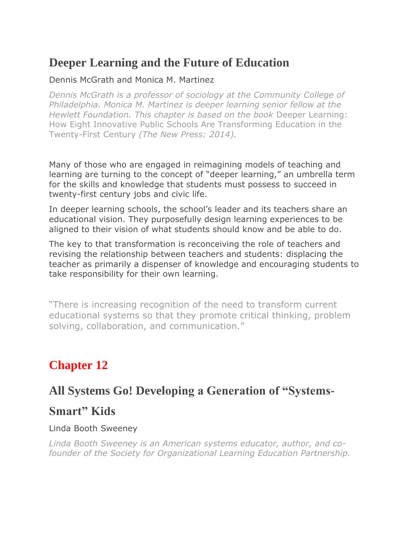### **Deeper Learning and the Future of Education**

#### Dennis McGrath and Monica M. Martinez

*Dennis McGrath is a professor of sociology at the Community College of Philadelphia. Monica M. Martinez is deeper learning senior fellow at the Hewlett Foundation. This chapter is based on the book* Deeper Learning: How Eight Innovative Public Schools Are Transforming Education in the Twenty-First Century *(The New Press: 2014).*

Many of those who are engaged in reimagining models of teaching and learning are turning to the concept of "deeper learning," an umbrella term for the skills and knowledge that students must possess to succeed in twenty-first century jobs and civic life.

In deeper learning schools, the school's leader and its teachers share an educational vision. They purposefully design learning experiences to be aligned to their vision of what students should know and be able to do.

The key to that transformation is reconceiving the role of teachers and revising the relationship between teachers and students: displacing the teacher as primarily a dispenser of knowledge and encouraging students to take responsibility for their own learning.

"There is increasing recognition of the need to transform current educational systems so that they promote critical thinking, problem solving, collaboration, and communication."

# **Chapter 12**

### **All Systems Go! Developing a Generation of "Systems-**

#### **Smart" Kids**

#### Linda Booth Sweeney

*Linda Booth Sweeney is an American systems educator, author, and cofounder of the Society for Organizational Learning Education Partnership.*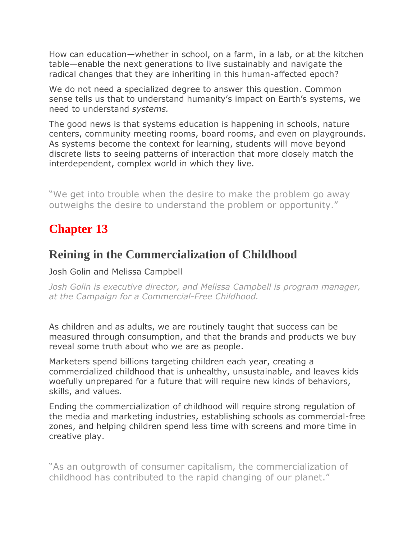How can education—whether in school, on a farm, in a lab, or at the kitchen table—enable the next generations to live sustainably and navigate the radical changes that they are inheriting in this human-affected epoch?

We do not need a specialized degree to answer this question. Common sense tells us that to understand humanity's impact on Earth's systems, we need to understand *systems.*

The good news is that systems education is happening in schools, nature centers, community meeting rooms, board rooms, and even on playgrounds. As systems become the context for learning, students will move beyond discrete lists to seeing patterns of interaction that more closely match the interdependent, complex world in which they live.

"We get into trouble when the desire to make the problem go away outweighs the desire to understand the problem or opportunity."

### **Chapter 13**

### **Reining in the Commercialization of Childhood**

Josh Golin and Melissa Campbell

*Josh Golin is executive director, and Melissa Campbell is program manager, at the Campaign for a Commercial-Free Childhood.*

As children and as adults, we are routinely taught that success can be measured through consumption, and that the brands and products we buy reveal some truth about who we are as people.

Marketers spend billions targeting children each year, creating a commercialized childhood that is unhealthy, unsustainable, and leaves kids woefully unprepared for a future that will require new kinds of behaviors, skills, and values.

Ending the commercialization of childhood will require strong regulation of the media and marketing industries, establishing schools as commercial-free zones, and helping children spend less time with screens and more time in creative play.

"As an outgrowth of consumer capitalism, the commercialization of childhood has contributed to the rapid changing of our planet."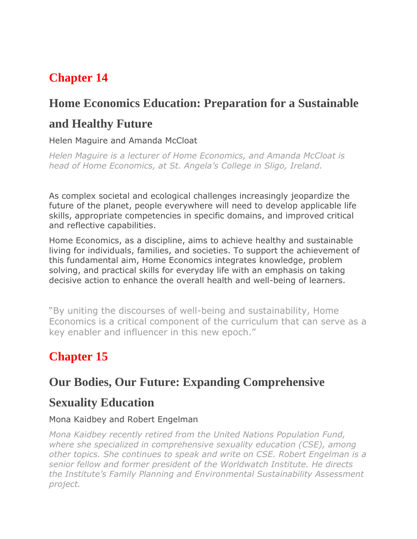# **Chapter 14**

# **Home Economics Education: Preparation for a Sustainable**

## **and Healthy Future**

#### Helen Maguire and Amanda McCloat

*Helen Maguire is a lecturer of Home Economics, and Amanda McCloat is head of Home Economics, at St. Angela's College in Sligo, Ireland.*

As complex societal and ecological challenges increasingly jeopardize the future of the planet, people everywhere will need to develop applicable life skills, appropriate competencies in specific domains, and improved critical and reflective capabilities.

Home Economics, as a discipline, aims to achieve healthy and sustainable living for individuals, families, and societies. To support the achievement of this fundamental aim, Home Economics integrates knowledge, problem solving, and practical skills for everyday life with an emphasis on taking decisive action to enhance the overall health and well-being of learners.

"By uniting the discourses of well-being and sustainability, Home Economics is a critical component of the curriculum that can serve as a key enabler and influencer in this new epoch."

# **Chapter 15**

### **Our Bodies, Our Future: Expanding Comprehensive**

### **Sexuality Education**

#### Mona Kaidbey and Robert Engelman

*Mona Kaidbey recently retired from the United Nations Population Fund, where she specialized in comprehensive sexuality education (CSE), among other topics. She continues to speak and write on CSE. Robert Engelman is a senior fellow and former president of the Worldwatch Institute. He directs the Institute's Family Planning and Environmental Sustainability Assessment project.*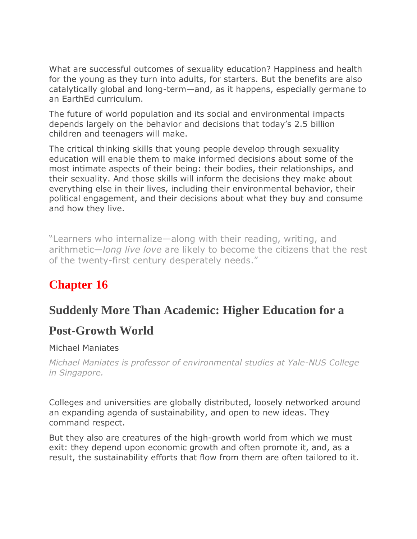What are successful outcomes of sexuality education? Happiness and health for the young as they turn into adults, for starters. But the benefits are also catalytically global and long-term—and, as it happens, especially germane to an EarthEd curriculum.

The future of world population and its social and environmental impacts depends largely on the behavior and decisions that today's 2.5 billion children and teenagers will make.

The critical thinking skills that young people develop through sexuality education will enable them to make informed decisions about some of the most intimate aspects of their being: their bodies, their relationships, and their sexuality. And those skills will inform the decisions they make about everything else in their lives, including their environmental behavior, their political engagement, and their decisions about what they buy and consume and how they live.

"Learners who internalize—along with their reading, writing, and arithmetic—*long live love* are likely to become the citizens that the rest of the twenty-first century desperately needs."

# **Chapter 16**

### **Suddenly More Than Academic: Higher Education for a**

### **Post-Growth World**

#### Michael Maniates

*Michael Maniates is professor of environmental studies at Yale-NUS College in Singapore.*

Colleges and universities are globally distributed, loosely networked around an expanding agenda of sustainability, and open to new ideas. They command respect.

But they also are creatures of the high-growth world from which we must exit: they depend upon economic growth and often promote it, and, as a result, the sustainability efforts that flow from them are often tailored to it.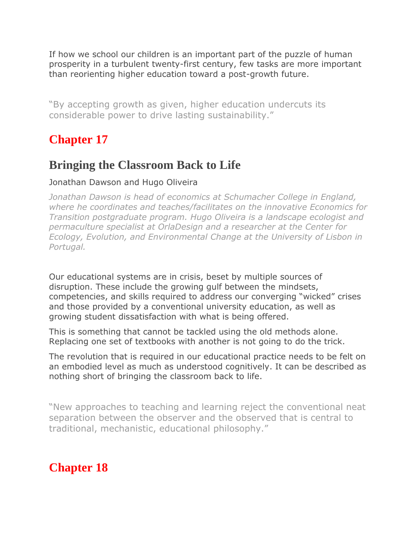If how we school our children is an important part of the puzzle of human prosperity in a turbulent twenty-first century, few tasks are more important than reorienting higher education toward a post-growth future.

"By accepting growth as given, higher education undercuts its considerable power to drive lasting sustainability."

## **Chapter 17**

### **Bringing the Classroom Back to Life**

#### Jonathan Dawson and Hugo Oliveira

*Jonathan Dawson is head of economics at Schumacher College in England, where he coordinates and teaches/facilitates on the innovative Economics for Transition postgraduate program. Hugo Oliveira is a landscape ecologist and permaculture specialist at OrlaDesign and a researcher at the Center for Ecology, Evolution, and Environmental Change at the University of Lisbon in Portugal.*

Our educational systems are in crisis, beset by multiple sources of disruption. These include the growing gulf between the mindsets, competencies, and skills required to address our converging "wicked" crises and those provided by a conventional university education, as well as growing student dissatisfaction with what is being offered.

This is something that cannot be tackled using the old methods alone. Replacing one set of textbooks with another is not going to do the trick.

The revolution that is required in our educational practice needs to be felt on an embodied level as much as understood cognitively. It can be described as nothing short of bringing the classroom back to life.

"New approaches to teaching and learning reject the conventional neat separation between the observer and the observed that is central to traditional, mechanistic, educational philosophy."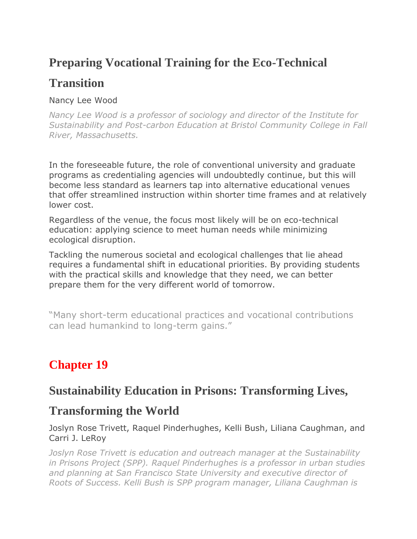## **Preparing Vocational Training for the Eco-Technical**

## **Transition**

#### Nancy Lee Wood

*Nancy Lee Wood is a professor of sociology and director of the Institute for Sustainability and Post-carbon Education at Bristol Community College in Fall River, Massachusetts.*

In the foreseeable future, the role of conventional university and graduate programs as credentialing agencies will undoubtedly continue, but this will become less standard as learners tap into alternative educational venues that offer streamlined instruction within shorter time frames and at relatively lower cost.

Regardless of the venue, the focus most likely will be on eco-technical education: applying science to meet human needs while minimizing ecological disruption.

Tackling the numerous societal and ecological challenges that lie ahead requires a fundamental shift in educational priorities. By providing students with the practical skills and knowledge that they need, we can better prepare them for the very different world of tomorrow.

"Many short-term educational practices and vocational contributions can lead humankind to long-term gains."

# **Chapter 19**

#### **Sustainability Education in Prisons: Transforming Lives,**

#### **Transforming the World**

Joslyn Rose Trivett, Raquel Pinderhughes, Kelli Bush, Liliana Caughman, and Carri J. LeRoy

*Joslyn Rose Trivett is education and outreach manager at the Sustainability in Prisons Project (SPP). Raquel Pinderhughes is a professor in urban studies and planning at San Francisco State University and executive director of Roots of Success. Kelli Bush is SPP program manager, Liliana Caughman is*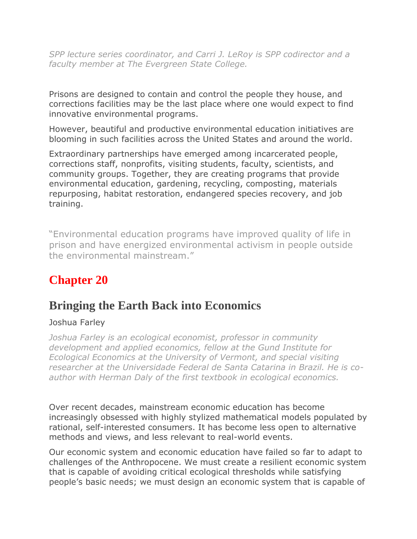*SPP lecture series coordinator, and Carri J. LeRoy is SPP codirector and a faculty member at The Evergreen State College.*

Prisons are designed to contain and control the people they house, and corrections facilities may be the last place where one would expect to find innovative environmental programs.

However, beautiful and productive environmental education initiatives are blooming in such facilities across the United States and around the world.

Extraordinary partnerships have emerged among incarcerated people, corrections staff, nonprofits, visiting students, faculty, scientists, and community groups. Together, they are creating programs that provide environmental education, gardening, recycling, composting, materials repurposing, habitat restoration, endangered species recovery, and job training.

"Environmental education programs have improved quality of life in prison and have energized environmental activism in people outside the environmental mainstream."

# **Chapter 20**

### **Bringing the Earth Back into Economics**

#### Joshua Farley

*Joshua Farley is an ecological economist, professor in community development and applied economics, fellow at the Gund Institute for Ecological Economics at the University of Vermont, and special visiting researcher at the Universidade Federal de Santa Catarina in Brazil. He is coauthor with Herman Daly of the first textbook in ecological economics.*

Over recent decades, mainstream economic education has become increasingly obsessed with highly stylized mathematical models populated by rational, self-interested consumers. It has become less open to alternative methods and views, and less relevant to real-world events.

Our economic system and economic education have failed so far to adapt to challenges of the Anthropocene. We must create a resilient economic system that is capable of avoiding critical ecological thresholds while satisfying people's basic needs; we must design an economic system that is capable of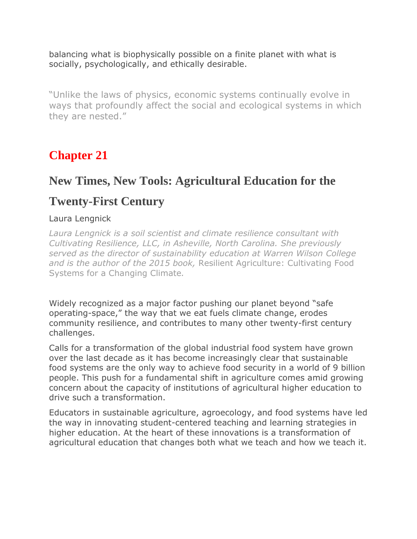balancing what is biophysically possible on a finite planet with what is socially, psychologically, and ethically desirable.

"Unlike the laws of physics, economic systems continually evolve in ways that profoundly affect the social and ecological systems in which they are nested."

# **Chapter 21**

### **New Times, New Tools: Agricultural Education for the**

### **Twenty-First Century**

#### Laura Lengnick

*Laura Lengnick is a soil scientist and climate resilience consultant with Cultivating Resilience, LLC, in Asheville, North Carolina. She previously served as the director of sustainability education at Warren Wilson College and is the author of the 2015 book,* Resilient Agriculture: Cultivating Food Systems for a Changing Climate*.*

Widely recognized as a major factor pushing our planet beyond "safe operating-space," the way that we eat fuels climate change, erodes community resilience, and contributes to many other twenty-first century challenges.

Calls for a transformation of the global industrial food system have grown over the last decade as it has become increasingly clear that sustainable food systems are the only way to achieve food security in a world of 9 billion people. This push for a fundamental shift in agriculture comes amid growing concern about the capacity of institutions of agricultural higher education to drive such a transformation.

Educators in sustainable agriculture, agroecology, and food systems have led the way in innovating student-centered teaching and learning strategies in higher education. At the heart of these innovations is a transformation of agricultural education that changes both what we teach and how we teach it.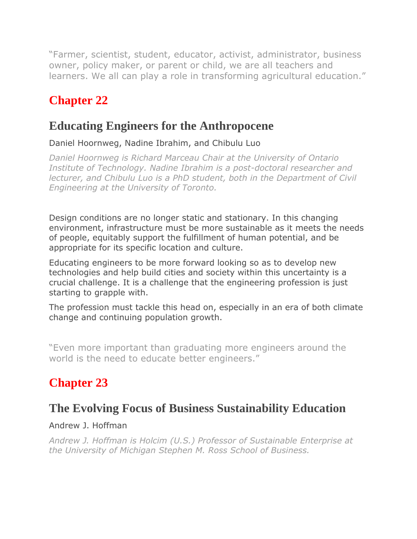"Farmer, scientist, student, educator, activist, administrator, business owner, policy maker, or parent or child, we are all teachers and learners. We all can play a role in transforming agricultural education."

# **Chapter 22**

## **Educating Engineers for the Anthropocene**

Daniel Hoornweg, Nadine Ibrahim, and Chibulu Luo

*Daniel Hoornweg is Richard Marceau Chair at the University of Ontario Institute of Technology. Nadine Ibrahim is a post-doctoral researcher and lecturer, and Chibulu Luo is a PhD student, both in the Department of Civil Engineering at the University of Toronto.*

Design conditions are no longer static and stationary. In this changing environment, infrastructure must be more sustainable as it meets the needs of people, equitably support the fulfillment of human potential, and be appropriate for its specific location and culture.

Educating engineers to be more forward looking so as to develop new technologies and help build cities and society within this uncertainty is a crucial challenge. It is a challenge that the engineering profession is just starting to grapple with.

The profession must tackle this head on, especially in an era of both climate change and continuing population growth.

"Even more important than graduating more engineers around the world is the need to educate better engineers."

# **Chapter 23**

### **The Evolving Focus of Business Sustainability Education**

#### Andrew J. Hoffman

*Andrew J. Hoffman is Holcim (U.S.) Professor of Sustainable Enterprise at the University of Michigan Stephen M. Ross School of Business.*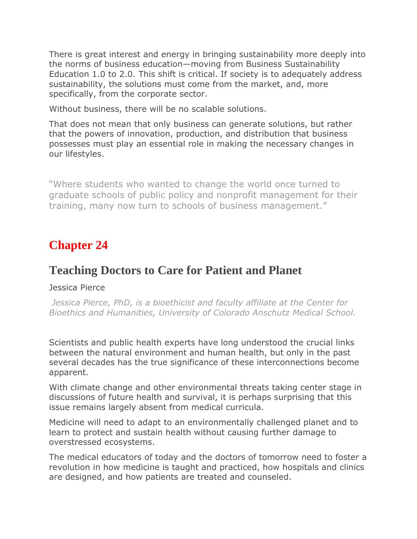There is great interest and energy in bringing sustainability more deeply into the norms of business education—moving from Business Sustainability Education 1.0 to 2.0. This shift is critical. If society is to adequately address sustainability, the solutions must come from the market, and, more specifically, from the corporate sector.

Without business, there will be no scalable solutions.

That does not mean that only business can generate solutions, but rather that the powers of innovation, production, and distribution that business possesses must play an essential role in making the necessary changes in our lifestyles.

"Where students who wanted to change the world once turned to graduate schools of public policy and nonprofit management for their training, many now turn to schools of business management."

# **Chapter 24**

### **Teaching Doctors to Care for Patient and Planet**

#### Jessica Pierce

*Jessica Pierce, PhD, is a bioethicist and faculty affiliate at the Center for Bioethics and Humanities, University of Colorado Anschutz Medical School.*

Scientists and public health experts have long understood the crucial links between the natural environment and human health, but only in the past several decades has the true significance of these interconnections become apparent.

With climate change and other environmental threats taking center stage in discussions of future health and survival, it is perhaps surprising that this issue remains largely absent from medical curricula.

Medicine will need to adapt to an environmentally challenged planet and to learn to protect and sustain health without causing further damage to overstressed ecosystems.

The medical educators of today and the doctors of tomorrow need to foster a revolution in how medicine is taught and practiced, how hospitals and clinics are designed, and how patients are treated and counseled.